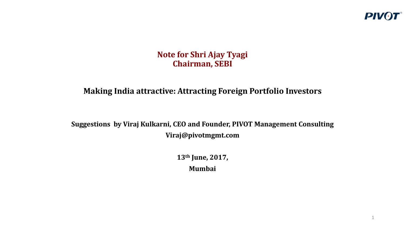

1

#### **Note for Shri Ajay Tyagi Chairman, SEBI**

### **Making India attractive: Attracting Foreign Portfolio Investors**

**Suggestions by Viraj Kulkarni, CEO and Founder, PIVOT Management Consulting Viraj@pivotmgmt.com**

> **13th June, 2017, Mumbai**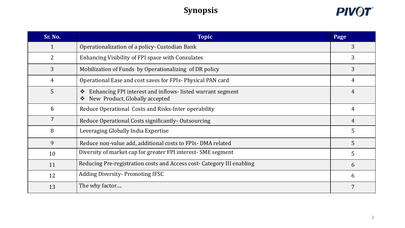# **Synopsis**



| Sr. No.        | <b>Topic</b>                                                                                                                   |                 |  |
|----------------|--------------------------------------------------------------------------------------------------------------------------------|-----------------|--|
| $\mathbf{1}$   | Operationalization of a policy- Custodian Bank                                                                                 | 3               |  |
| 2              | Enhancing Visibility of FPI space with Consulates                                                                              | $\overline{3}$  |  |
| 3              | Mobilization of Funds by Operationalizing of DR policy                                                                         | 3               |  |
| 4              | Operational Ease and cost saves for FPIs-Physical PAN card                                                                     | 4               |  |
| 5              | Enhancing FPI interest and inflows-listed warrant segment<br>$\ddot{\cdot}$<br>New Product, Globally accepted<br>$\frac{1}{2}$ | 4               |  |
| 6              | Reduce Operational Costs and Risks-Inter operability                                                                           | $\overline{4}$  |  |
| $\overline{7}$ | Reduce Operational Costs significantly - Outsourcing                                                                           | 4               |  |
| 8              | Leveraging Globally India Expertise                                                                                            | $5\overline{)}$ |  |
| 9              | Reduce non-value add, additional costs to FPIs-DMA related                                                                     | $5^{\circ}$     |  |
| 10             | Diversity of market cap for greater FPI interest- SME segment                                                                  | $5\overline{)}$ |  |
| 11             | Reducing Pre-registration costs and Access cost- Category III enabling                                                         | 6               |  |
| 12             | <b>Adding Diversity-Promoting IFSC</b>                                                                                         | 6               |  |
| 13             | The why factor                                                                                                                 | 7               |  |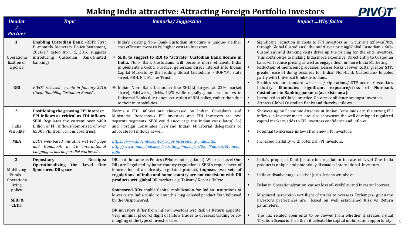| <b>PIV01</b><br><b>Making India attractive: Attracting Foreign Portfolio Investors</b> |                                                                                                                                                                                                              |                                                                                                                                                                                                                                                                                                                                                                                                                                                                                                                                                                                                             |                                  |                                                                                                                                                                                                                                                                                                                                                                                                                                                                                                                                                                                                                                                                            |
|----------------------------------------------------------------------------------------|--------------------------------------------------------------------------------------------------------------------------------------------------------------------------------------------------------------|-------------------------------------------------------------------------------------------------------------------------------------------------------------------------------------------------------------------------------------------------------------------------------------------------------------------------------------------------------------------------------------------------------------------------------------------------------------------------------------------------------------------------------------------------------------------------------------------------------------|----------------------------------|----------------------------------------------------------------------------------------------------------------------------------------------------------------------------------------------------------------------------------------------------------------------------------------------------------------------------------------------------------------------------------------------------------------------------------------------------------------------------------------------------------------------------------------------------------------------------------------------------------------------------------------------------------------------------|
| <b>Header</b>                                                                          | <b>Topic</b>                                                                                                                                                                                                 | <b>Remarks/Suggestion</b>                                                                                                                                                                                                                                                                                                                                                                                                                                                                                                                                                                                   |                                  | <b>ImpactWhy factor</b>                                                                                                                                                                                                                                                                                                                                                                                                                                                                                                                                                                                                                                                    |
| <b>Partner</b>                                                                         |                                                                                                                                                                                                              |                                                                                                                                                                                                                                                                                                                                                                                                                                                                                                                                                                                                             |                                  |                                                                                                                                                                                                                                                                                                                                                                                                                                                                                                                                                                                                                                                                            |
| 1.<br>Operationa<br>lization of<br>a policy                                            | Enabling Custodian Bank -RBI's First<br>Bi-monthly Monetary Policy Statement,<br>2016-17 dated April 5, 2016 suggests<br>introducing Custodian Bank(limited<br>banking)                                      | * India's existing Non- Bank Custodian structure is unique- neither<br>cost efficient, more risks, higher costs to Investors.<br>❖ SEBI to suggest to RBI to "activate" Custodian Bank license in<br>India. Non- Bank Custodians will become more efficient; India<br>implements a Global Practice; generates direct interest into Indian<br>Capital Markets by the leading Global Custodians - BONYM, State<br>street, BBH, NT, Master Trust.                                                                                                                                                              | $\blacksquare$<br>$\blacksquare$ | Significant reduction in costs to FPI investors as in current inflows(70%<br>through Global Custodians); the multilayer pricing(Global Custodian + Sub-<br>Custodian) and Banking costs drive up the pricing for the end Investors.<br>This contributes to making India more expensive. Direct entry to Custodian<br>bank will reduce pricing as well as engage them in more India Marketing.<br>Reduction of inefficient processes, Lesser Risks, lower costs, greater STP,<br>greater ease of doing business for Indian Non-bank Custodians- Enables<br>parity with Universal Bank Custodians.<br>Enables similar standard wrt. risks/ Operations/ STP across Custodians |
| <b>RBI</b>                                                                             | PIVOT released a note in January 2016<br>titled, "Enabling Custodian Banks"                                                                                                                                  | * Indian Non- Bank Custodian like SHCIL( largest at 22% market<br>share), Edelweiss, Orbis, ILFS while equally good lose out vs to<br>Universal Banks due to non-activation of RBI policy, rather than due<br>to their in capabilities.                                                                                                                                                                                                                                                                                                                                                                     | $\blacksquare$                   | Industry. Eliminates significant exposure/risks of Non-bank<br>Custodians to Banking partners (as exists now).<br>Introduction of Global practice. Greater confidence amongst Investors<br>Attracts Global Custodian Banks and thereby inflows.                                                                                                                                                                                                                                                                                                                                                                                                                            |
| 2.<br>India<br>Visibility                                                              | Positioning the growing FPI interest:<br>FPI inflows as critical as FDI inflows.<br>SEBI Regulates the current over \$400<br>Billion of FPI inflows(comprised of over<br>8500 FPIs, from various countries). | Normally FDI inflows are showcased by Indian Consulates and<br>Ministerial Roadshows. FPI investors and FDI Investors are two<br>separate segments. SEBI could encourage the Indian consulates(126)<br>and Foreign Consulates (124)and Indian Ministerial delegations to<br>advocate FPI inflows as well.                                                                                                                                                                                                                                                                                                   |                                  | Showcasing by Economic Attaches at Indian Consulates etc, the strong FPI<br>inflows in Investor meets, etc- also showcases the well developed regulated<br>capital markets, adds to FPI investors confidence and inflows.<br>Potential to increase inflows from new FPI Investors.                                                                                                                                                                                                                                                                                                                                                                                         |
| <b>MEA</b>                                                                             | BSE's web-based initiative wrt FPI page<br>and Handbook in 10 International<br>Languages, has no parallel worldwide.                                                                                         | https://www.indembassy-tokyo.gov.in/economy_india.html<br>http://www.india.diplo.de/Vertretung/indien/en/05 Mumbai/Mumbai.<br>html                                                                                                                                                                                                                                                                                                                                                                                                                                                                          |                                  | Increased visibility with potential FPI Investors.                                                                                                                                                                                                                                                                                                                                                                                                                                                                                                                                                                                                                         |
| 3.<br>Mobilizing<br>Funds -<br>Operationa<br>lizing<br>policy<br>SEBI&<br><b>CBDT</b>  | <b>Depositary</b><br>Receipts:<br>Operationalizing the Level One<br><b>Sponsored DR space</b>                                                                                                                | DRs not the same as Pnotes (PNotes not regulated). Whereas Level One<br>DRs are Regulated by home country regulations). SEBI's requirement of<br>information of an already regulated product, imposes two sets of<br>regulations- of India and home country are not consistent with DR<br>products wrt. global DR markets e.g. Taiwan/Korea/HK etc.<br>Sponsored DRs enable Capital mobilization for Indian institutions at<br>lower costs. India could roll out this long delayed product first, followed<br>by the Unsponsored.<br>DR investors differ from Inflow Investors wrt Risk vs Return appetite. |                                  | India's proposed Dual Jurisdiction regulation in case of Level One India<br>product is unique and potentially dissuades International Investors.<br>India at disadvantage vs other Jurisdictions wrt above<br>Delay in Operationalization causes loss of-visibility and Investor Interest.<br>Misplaced perception wrt flight of trades to overseas Exchanges- given the<br>Investors preferences are based on well established Risk vs Return<br>parameters.                                                                                                                                                                                                              |
|                                                                                        |                                                                                                                                                                                                              | Very minimal proof of flight of Inflow trades to overseas trading or co-<br>mingling of the type of investor base.                                                                                                                                                                                                                                                                                                                                                                                                                                                                                          |                                  | The Tax related open ends to be viewed from whether it creates a dual<br>Taxation Scenario. If so then it defeats the capital mobilization opportunity.                                                                                                                                                                                                                                                                                                                                                                                                                                                                                                                    |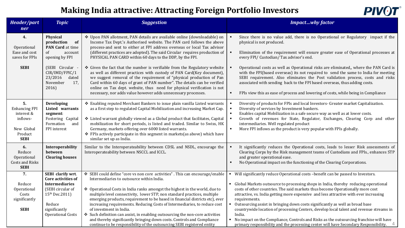| <b>PIVOT</b> |
|--------------|
|--------------|

| Header/part<br>ner                                                                           | <b>Topic</b>                                                                                                                                                               | <b>Suggestion</b>                                                                                                                                                                                                                                                                                                                                                                                                                                                                                                                                                                                                                                                                                                | <b>Impactwhy factor</b>                                                                                                                                                                                                                                                                                                                                                                                                                                                                                                                                                                                                                                                                                                                         |
|----------------------------------------------------------------------------------------------|----------------------------------------------------------------------------------------------------------------------------------------------------------------------------|------------------------------------------------------------------------------------------------------------------------------------------------------------------------------------------------------------------------------------------------------------------------------------------------------------------------------------------------------------------------------------------------------------------------------------------------------------------------------------------------------------------------------------------------------------------------------------------------------------------------------------------------------------------------------------------------------------------|-------------------------------------------------------------------------------------------------------------------------------------------------------------------------------------------------------------------------------------------------------------------------------------------------------------------------------------------------------------------------------------------------------------------------------------------------------------------------------------------------------------------------------------------------------------------------------------------------------------------------------------------------------------------------------------------------------------------------------------------------|
| 4.<br>Operational<br>Ease and cost<br>saves for FPIs<br><b>SEBI</b>                          | Physical<br>production<br>of<br>PAN Card at time<br>of<br>account<br>opening by FPI<br>(SEBI Circular -<br>CIR/IMD/FPIC/1<br>23/2016<br>dated                              | * Upon PAN allotment, PAN details are available online (downloadable) on<br>Income Tax Dept.'s Authorised website. The PAN card follows the above<br>process-and sent to either at FPI address overseas or local Tax advisor<br>(different practices are adopted). The said Circular requires production of<br>PHYSICAL PAN CARD within 60 days to the DDP, by the FPI.<br>❖ Given the fact that the number is verifiable from the Regulatory website<br>as well as different practices with custody of PAN Card(Key document),<br>we suggest removal of the requirement of "physical production of Pan                                                                                                          | Since there is no value add, there is no Operational or Regulatory impact if the<br>$\blacksquare$<br>physical is not produced.<br>Elimination of the requirement will ensure greater ease of Operational processes at<br>every FPI/ Custodian/ Tax advisor's end.<br>Operational costs as well as Operational risks are eliminated,, where the PAN Card is<br>$\blacksquare$<br>with the FPI(based overseas) its not required to send the same to India for meeting<br>SEBI requirement. Also eliminates the Post validation process, costs and risks                                                                                                                                                                                          |
|                                                                                              | November<br>17,<br>2016)                                                                                                                                                   | Card within 60 days of grant of PAN number". The details can be verified<br>online on Tax dept. website, thus need for physical verification is not<br>necessary, nor adds value however adds unnecessary processes.                                                                                                                                                                                                                                                                                                                                                                                                                                                                                             | associated with sending back to the FPI based overseas, thus adding costs.<br>FPIs view this as ease of process and lowering of costs, while being in Compliance<br>$\blacksquare$                                                                                                                                                                                                                                                                                                                                                                                                                                                                                                                                                              |
| 5.<br><b>Enhancing FPI</b><br>interest &<br>inflows-<br>New Global<br>Product<br><b>SEBI</b> | <b>Developing</b><br>Listed warrants<br>segment:<br>Fostering Capital<br>Formation<br>and<br>FPI interest                                                                  | ❖ Enabling reputed Merchant Bankers to issue plain vanilla Listed warrants<br>as a first step to regulated Capital Mobilization and increasing Market Cap.<br>❖ Listed warrant globally viewed as a Global product that facilitates, Capital<br>mobilization for short periods, is listed and traded. Similar to Swiss, HK<br>Germany, markets offering over 6000 listed warrants.<br>❖ FPIs actively participate in this segment in markets(as above) which have<br>similar set up as India.                                                                                                                                                                                                                    | Diversity of products for FPIs and local Investors- Greater market Capitalization.<br>$\blacksquare$<br>Diversity of services by Investment bankers.<br>$\blacksquare$<br>Enables capital Mobilization in a safe secure way as well as at lower costs.<br>$\blacksquare$<br>$\blacksquare$<br>Growth of revenues for State, Regulator, Exchanges, Clearing Corp and other<br>intermediaries. Well regulated product<br>More FPI inflows as the product is very popular with FPIs globally.<br>$\blacksquare$                                                                                                                                                                                                                                    |
| 6.<br>Reduce<br>Operational<br><b>Costs and Risks</b><br><b>SEBI</b>                         | Interoperability<br>between<br><b>Clearing houses</b>                                                                                                                      | Similar to the Interoperateability between CDSL and NSDL, encourage the<br>Interoperateability between NSCCL and ICCL.                                                                                                                                                                                                                                                                                                                                                                                                                                                                                                                                                                                           | It significantly reduces the Operational costs, leads to lesser Risk assessments of<br>Clearing Corps by the Risk management teams of Custodians and FPIs., enhances STP<br>and greater operational ease.<br>No Operational impact on the functioning of the Clearing Corporations.<br>$\blacksquare$                                                                                                                                                                                                                                                                                                                                                                                                                                           |
| 7.<br>Reduce<br>Operational<br>Costs<br>significantly<br><b>SEBI</b>                         | SEBI clarify wrt.<br>Core activities of<br><b>Intermediaries</b><br>(SEBI circular of<br>15 <sup>th</sup> Dec.2011)<br>Reduce<br>significantly<br><b>Operational Costs</b> | ❖ SEBI could define "core vs non core activities". This can encourage/enable<br>Intermediaries to outsource within India.<br>❖ Operational Costs in India ranks amongst the highest in the world, due to<br>multiple level connectivity, lower STP, non standard practices, multiple<br>emerging products, requirement to be based in financial districts etc), ever<br>increasing requirements. Reducing Costs of Intermediaries, to reduce cost<br>of investment in India.<br>Such definition can assist, in enabling outsourcing the non-core activities<br>and thereby significantly bringing down costs. Controls and Compliance<br>continue to be responsibility of the outsourcing SEBI registered entity | Will significantly reduce Operational costs -benefit can be passed to Investors.<br>• Global Markets outsource to processing shops in India, thereby reducing operational<br>costs of other countries. The said markets thus become Operationally more cost<br>attractive, vs. India getting more expensive and less attractive with ever increasing<br>requirements.<br>• Outsourcing assist in bringing down costs significantly as well as broad base<br>countrywide location of processing Centers, develop local talent and revenue streams in<br>India.<br>No impact on the Compliance, Controls and Risks as the outsourcing franchise will have<br>primary responsibility and the processing center will have Secondary Responsibility. |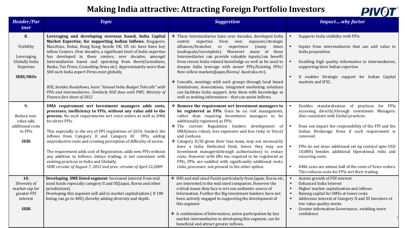

| <b>Header/Par</b><br>tner                                                         | <b>Topic</b>                                                                                                                                                                                                                                                                                                                                                                                                                                                                                                                                                                                                                                                                   | <b>Suggestion</b>                                                                                                                                                                                                                                                                                                                                                                                                                                                                                                                                                                                                                                                                                        | <b>Impactwhy factor</b>                                                                                                                                                                                                                                                                                                                                                                                                                                                                                        |
|-----------------------------------------------------------------------------------|--------------------------------------------------------------------------------------------------------------------------------------------------------------------------------------------------------------------------------------------------------------------------------------------------------------------------------------------------------------------------------------------------------------------------------------------------------------------------------------------------------------------------------------------------------------------------------------------------------------------------------------------------------------------------------|----------------------------------------------------------------------------------------------------------------------------------------------------------------------------------------------------------------------------------------------------------------------------------------------------------------------------------------------------------------------------------------------------------------------------------------------------------------------------------------------------------------------------------------------------------------------------------------------------------------------------------------------------------------------------------------------------------|----------------------------------------------------------------------------------------------------------------------------------------------------------------------------------------------------------------------------------------------------------------------------------------------------------------------------------------------------------------------------------------------------------------------------------------------------------------------------------------------------------------|
| 8.<br>Visibility<br>Leveraging<br>Globally India<br>Expertise<br><b>SEBI/SROs</b> | Leveraging and developing overseas based, India Capital<br>Market Expertise, for supporting Indian Inflows. Singapore,<br>Mauritius, Dubai, Hong Kong beside UK, US etc have been key<br>inflow Centers. Over decades, a significant level of India expertise<br>has developed in these centers, over decades, amongst<br>Intermediaries based and operating from there(Custodians,<br>Banks, Tax Firms, Consulting firms etc). Approximately more than<br>500 such India expert Firms exist globally.<br>BSE, besides Roadshows, hosts "Annual India Budget Telecalls" with<br>FPIs and intermediaries Similarly NSE does with PWC. Ministry of<br>Finance fact sheet of 2012 | * These Intermediaries have over decades, developed India<br>centric expertise<br>from own exposure/strategic<br>alliances/branches<br>or experience (many<br>times<br>inadequate/incomplete). Moreover many of these<br>Intermediaries can provide valuable inputs/can benefit<br>from recent India related knowledge as well as be used to<br>deepen India leverage with newer FPIs/Existing FPIs/<br>New inflow markets(Japan/Korea/ Australia etc).<br>* Concalls, meetings with such groups through local based<br>Institutions, Associations, integrated marketing solutions<br>can facilitate India support. Arm them with knowledge as<br>well as seeking information - that can assist Inflows. | Supports India visibility with FPIs<br>Inputs from intermediaries that can add value to<br>India proposition<br>Enabling high quality information to intermediaries,<br>supporting their Indian expertise<br>It enables Strategic support for Indian Capital<br>markets and IFSC.                                                                                                                                                                                                                              |
| 9.<br>Reduce non-<br>value add,<br>additional costs<br>to FPIs<br><b>SEBI</b>     | DMA requirement wrt Investment managers adds costs,<br>processes, inefficiency to FPIs, without any value add to the<br>process. No such requirements wrt voice orders as well as DMA<br>for direct FPIs.<br>This especially in the era of FPI regulations of 2014, hinders the<br>inflows from Category II and Category III FPIs, adding<br>unproductive costs and creating perception of difficulty of access.<br>The requirement adds cost of Registration, adds new FPIs without<br>any addition to Inflows, delays trading, is not consistent with<br>existing practices in India and Globally.<br>SEBI circular of August 7, 2012 and prev. circular of April 21,2009    | * Remove the requirement wrt Investment managers to<br>be registered as FPIs. Onus be on risk management,<br>rather than requiring Investment managers to be<br>additionally registered as FPIs.<br>* The current Regulation hinders development of<br>DMA(more robust, less expensive and less risky vs Voice)<br>and confuses.<br>* Category II/III given their lean team, may not necessarily<br>have a India Dedicated Desk, hence they may use<br>Investment managers(through authorization) to reduce<br>costs. However with IMs too required to be registered as<br>FPIs, FPIs are saddled with significantly additional costs,<br>risks, processes- not present in the other option.             | Enables standardization of practices for FPIs<br>accessing directly/through investment Managers.<br>Also consistent with Global practices.<br>Does not impact the responsibility of the FPI and the<br>Indian Brokerage firms if such requirement is<br>removed.<br>FPIs do not incur additional set up costs(of upto USD<br>10,000) besides additional Operational risks and<br>recurring costs.<br>DMA costs are almost half of the costs of Voice orders.<br>This reduces costs for FPIs wrt their trading. |
| 10.<br>Diversity of<br>market cap for<br>greater FPI<br>interest<br><b>SEBI</b>   | Developing SME listed segment- Increased interest from mid<br>sized funds especially category II and III(Japan, Korea and other<br>jurisdictions).<br>Developing this segment will add to market capitalization (If 180<br>listing can go to 400), thereby adding diversity and depth.                                                                                                                                                                                                                                                                                                                                                                                         | ❖ HNI and mid sized Funds particularly from Japan, Korea etc,<br>are interested in the mid sized companies. However the<br>critical issues they face is wrt one authentic source of<br>Information. Further the Big investment bankers have not<br>been actively engaged in supporting the development of<br>this segment.<br>❖ A combination of Information, active participation by key<br>market intermediaries in developing this segment, can be<br>beneficial and attract greater inflows.                                                                                                                                                                                                         | Assists growth of FDI interest<br>Enhanced India Interest<br>Higher market capitalization and inflows<br>Raising capital for SMEs at lower costs<br>Addresses interest of Category II and III Investors of<br>$\blacksquare$<br>low value quality stocks<br>Greater information Governance, enabling more<br>confidence                                                                                                                                                                                        |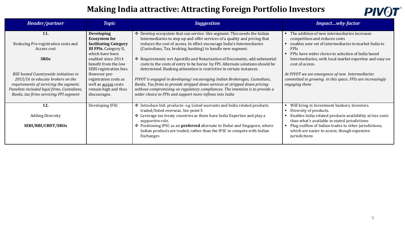

| Header/partner                                                                                                                                                                                                | <b>Topic</b>                                                                                                                                                         | <b>Suggestion</b>                                                                                                                                                                                                                                                                                                                                                                                                                                            | <b>Impactwhy factor</b>                                                                                                                                                                                                                                                                                        |
|---------------------------------------------------------------------------------------------------------------------------------------------------------------------------------------------------------------|----------------------------------------------------------------------------------------------------------------------------------------------------------------------|--------------------------------------------------------------------------------------------------------------------------------------------------------------------------------------------------------------------------------------------------------------------------------------------------------------------------------------------------------------------------------------------------------------------------------------------------------------|----------------------------------------------------------------------------------------------------------------------------------------------------------------------------------------------------------------------------------------------------------------------------------------------------------------|
| 11.<br>Reducing Pre-registration costs and<br>Access cost<br><b>SROs</b>                                                                                                                                      | <b>Developing</b><br><b>Ecosystem for</b><br>facilitating Category<br><b>III FPIs.</b> Category II,<br>which have been<br>enabled since 2014<br>benefit from the low | Develop ecosystem that can service this segment. This needs the Indian<br>Intermediaries to step up and offer services of a quality and pricing that<br>reduces the cost of access. In effect encourage India's Intermediaries<br>(Custodians, Tax, broking, banking) to handle new segment.<br>❖ Requirements wrt Apostille and Notarization of Documents, add substantial<br>costs to the costs of entry to be borne by FPI. Alternate solutions should be | The addition of new intermediaries increases<br>competition and reduces costs<br>enables new set of intermediaries to market India to<br><b>FPIS</b><br>FPIs have wider choice in selection of India based<br>Intermediaries, with local market expertise and easy on<br>cost of access.                       |
| BSE hosted Countrywide initiatives in<br>2015/16 to educate brokers on the<br>requirements of servicing the segment.<br>Panelists included legal firms, Custodians,<br>Banks, tax firms servicing FPI segment | SEBI registration fees.<br>However pre-<br>registration costs as<br>well as access costs<br>remain high and thus<br>discourages.                                     | determined. Banking attestation is restrictive in certain instances.<br>PIVOT is engaged in developing/encouraging Indian Brokerages, Custodians,<br>Banks, Tax firms to provide stripped down services at stripped down pricing-<br>without compromising on regulatory compliances. The intention is to provide a<br>wider choice to FPIs and support more inflows into India                                                                               | At PIVOT we see emergence of new Intermediaries<br>committed to growing in this space. FPIs are increasingly<br>engaging them                                                                                                                                                                                  |
| 12.<br><b>Adding Diversity</b><br>SEBI/RBI/CBDT/SROs                                                                                                                                                          | Developing IFSC                                                                                                                                                      | * Introduce Intl. products-e.g Listed warrants and India related products<br>traded/listed overseas. See point 5<br>❖ Leverage tax treaty countries as these have India Expertise and play a<br>supportive role.<br>❖ Positioning IFSC as an <b>preferred</b> alternate to Dubai and Singapore, where<br>Indian products are traded, rather than the IFSC to compete with Indian<br>Exchanges                                                                | Will bring in Investment bankers, Investors.<br>Diversity of products.<br>Enables India related products availability at less costs<br>than what's available in stated jurisdictions<br>Plug outflow of Indian trades to other jurisdictions,<br>which are easier to access, though expensive<br>jurisdictions |